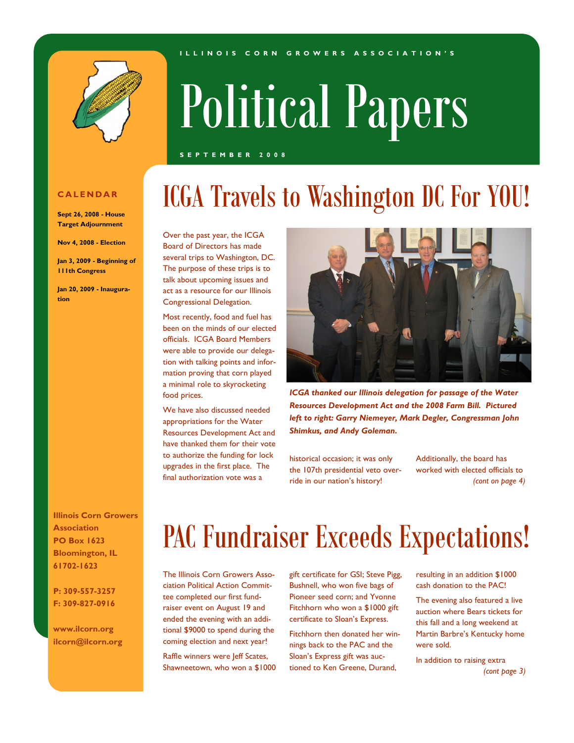



# Political Papers

#### **S E P T E M B E R 2 0 0 8**

#### **C A L E N D A R**

**Sept 26, 2008 - House Target Adjournment**

**Nov 4, 2008 - Election**

**Jan 3, 2009 - Beginning of 111th Congress**

**Jan 20, 2009 - Inauguration**

**Illinois Corn Growers Association PO Box 1623 Bloomington, IL 61702-1623**

**P: 309-557-3257 F: 309-827-0916**

**www.ilcorn.org ilcorn@ilcorn.org**

# ICGA Travels to Washington DC For YOU!

Over the past year, the ICGA Board of Directors has made several trips to Washington, DC. The purpose of these trips is to talk about upcoming issues and act as a resource for our Illinois Congressional Delegation.

Most recently, food and fuel has been on the minds of our elected officials. ICGA Board Members were able to provide our delegation with talking points and information proving that corn played a minimal role to skyrocketing food prices.

We have also discussed needed appropriations for the Water Resources Development Act and have thanked them for their vote to authorize the funding for lock upgrades in the first place. The final authorization vote was a



*ICGA thanked our Illinois delegation for passage of the Water Resources Development Act and the 2008 Farm Bill. Pictured left to right: Garry Niemeyer, Mark Degler, Congressman John Shimkus, and Andy Goleman.*

historical occasion; it was only the 107th presidential veto override in our nation's history!

Additionally, the board has worked with elected officials to *(cont on page 4)*

# PAC Fundraiser Exceeds Expectations!

The Illinois Corn Growers Association Political Action Committee completed our first fundraiser event on August 19 and ended the evening with an additional \$9000 to spend during the coming election and next year!

Raffle winners were Jeff Scates, Shawneetown, who won a \$1000 gift certificate for GSI; Steve Pigg, Bushnell, who won five bags of Pioneer seed corn; and Yvonne Fitchhorn who won a \$1000 gift certificate to Sloan's Express.

Fitchhorn then donated her winnings back to the PAC and the Sloan's Express gift was auctioned to Ken Greene, Durand,

resulting in an addition \$1000 cash donation to the PAC!

The evening also featured a live auction where Bears tickets for this fall and a long weekend at Martin Barbre's Kentucky home were sold.

In addition to raising extra *(cont page 3)*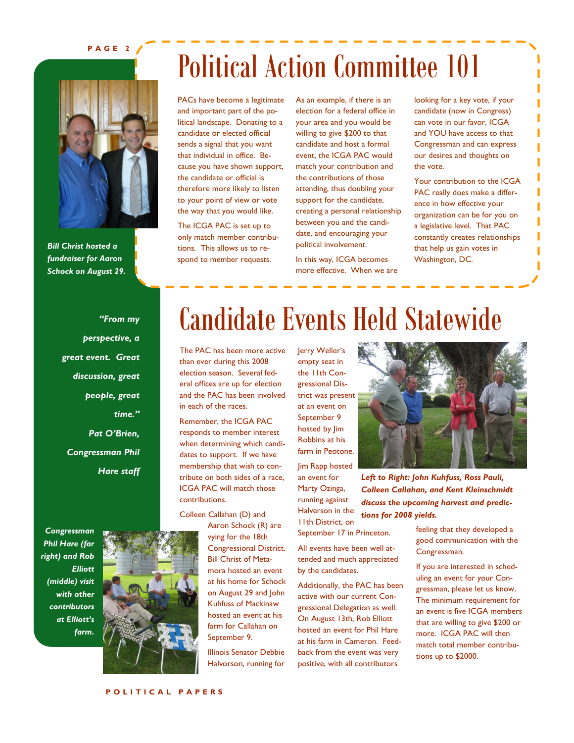### **P A G E 2**



*Bill Christ hosted a fundraiser for Aaron Schock on August 29.*

# Political Action Committee 101

PACs have become a legitimate and important part of the political landscape. Donating to a candidate or elected official sends a signal that you want that individual in office. Because you have shown support, the candidate or official is therefore more likely to listen to your point of view or vote the way that you would like.

The ICGA PAC is set up to only match member contributions. This allows us to respond to member requests.

As an example, if there is an election for a federal office in your area and you would be willing to give \$200 to that candidate and host a formal event, the ICGA PAC would match your contribution and the contributions of those attending, thus doubling your support for the candidate, creating a personal relationship between you and the candidate, and encouraging your political involvement.

In this way, ICGA becomes more effective. When we are

looking for a key vote, if your candidate (now in Congress) can vote in our favor, ICGA and YOU have access to that Congressman and can express our desires and thoughts on the vote.

Your contribution to the ICGA PAC really does make a difference in how effective your organization can be for you on a legislative level. That PAC constantly creates relationships that help us gain votes in Washington, DC.

Ī

*"From my perspective, a great event. Great discussion, great people, great time." Pat O'Brien, Congressman Phil Hare staff*

*Congressman Phil Hare (far right) and Rob Elliott (middle) visit with other contributors at Elliott's farm***.**



# Candidate Events Held Statewide

The PAC has been more active than ever during this 2008 election season. Several federal offices are up for election and the PAC has been involved in each of the races.

Remember, the ICGA PAC responds to member interest when determining which candidates to support. If we have membership that wish to contribute on both sides of a race, ICGA PAC will match those contributions.

Colleen Callahan (D) and

Aaron Schock (R) are vying for the 18th Congressional District. Bill Christ of Metamora hosted an event at his home for Schock on August 29 and John Kuhfuss of Mackinaw hosted an event at his farm for Callahan on September 9.

Illinois Senator Debbie Halvorson, running for Jerry Weller's empty seat in the 11th Congressional District was present at an event on September 9 hosted by Jim Robbins at his farm in Peotone. Jim Rapp hosted an event for Marty Ozinga,

running against Halverson in the 11th District, on

September 17 in Princeton.

All events have been well attended and much appreciated by the candidates.

Additionally, the PAC has been active with our current Congressional Delegation as well. On August 13th, Rob Elliott hosted an event for Phil Hare at his farm in Cameron. Feedback from the event was very positive, with all contributors



*Left to Right: John Kuhfuss, Ross Pauli, Colleen Callahan, and Kent Kleinschmidt discuss the upcoming harvest and predictions for 2008 yields.*

> feeling that they developed a good communication with the Congressman.

If you are interested in scheduling an event for your Congressman, please let us know. The minimum requirement for an event is five ICGA members that are willing to give \$200 or more. ICGA PAC will then match total member contributions up to \$2000.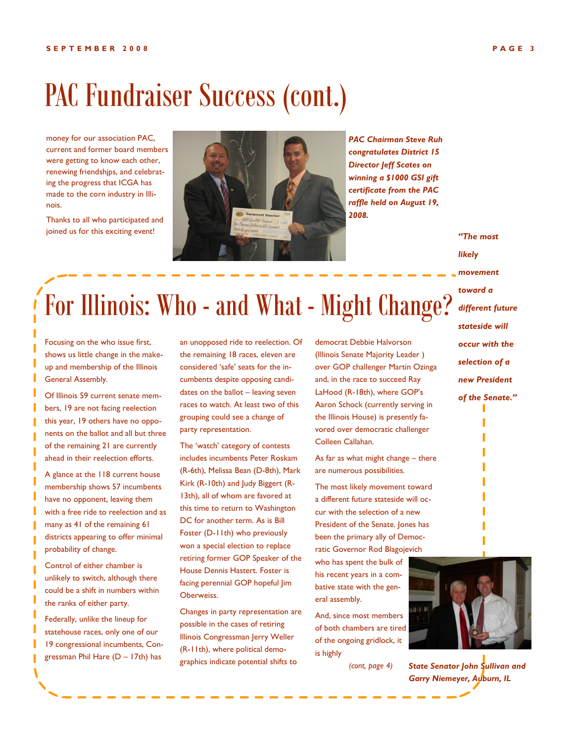# PAC Fundraiser Success (cont.)

money for our association PAC, current and former board members were getting to know each other, renewing friendshjps, and celebrating the progress that ICGA has made to the corn industry in Illinois.

Thanks to all who participated and joined us for this exciting event!



*PAC Chairman Steve Ruh congratulates District 15 Director Jeff Scates on winning a \$1000 GSI gift certificate from the PAC raffle held on August 19, 2008.*

*"The most likely movement toward a different future stateside will occur with the selection of a new President of the Senate."*

# For Illinois: Who - and What - Might Change?

Focusing on the who issue first, shows us little change in the makeup and membership of the Illinois General Assembly.

Of Illinois 59 current senate members, 19 are not facing reelection this year, 19 others have no opponents on the ballot and all but three of the remaining 21 are currently ahead in their reelection efforts.

A glance at the 118 current house membership shows 57 incumbents have no opponent, leaving them with a free ride to reelection and as many as 41 of the remaining 61 districts appearing to offer minimal probability of change.

Control of either chamber is unlikely to switch, although there could be a shift in numbers within the ranks of either party.

Federally, unlike the lineup for statehouse races, only one of our 19 congressional incumbents, Congressman Phil Hare (D – 17th) has

an unopposed ride to reelection. Of the remaining 18 races, eleven are considered 'safe' seats for the incumbents despite opposing candidates on the ballot – leaving seven races to watch. At least two of this grouping could see a change of party representation.

The 'watch' category of contests includes incumbents Peter Roskam (R-6th), Melissa Bean (D-8th), Mark Kirk (R-10th) and Judy Biggert (R-13th), all of whom are favored at this time to return to Washington DC for another term. As is Bill Foster (D-11th) who previously won a special election to replace retiring former GOP Speaker of the House Dennis Hastert. Foster is facing perennial GOP hopeful Jim Oberweiss.

Changes in party representation are possible in the cases of retiring Illinois Congressman Jerry Weller (R-11th), where political demographics indicate potential shifts to

democrat Debbie Halvorson (Illinois Senate Majority Leader ) over GOP challenger Martin Ozinga and, in the race to succeed Ray LaHood (R-18th), where GOP's Aaron Schock (currently serving in the Illinois House) is presently favored over democratic challenger Colleen Callahan.

As far as what might change – there are numerous possibilities.

The most likely movement toward a different future stateside will occur with the selection of a new President of the Senate. Jones has been the primary ally of Democratic Governor Rod Blagojevich who has spent the bulk of his recent years in a combative state with the general assembly.

And, since most members of both chambers are tired of the ongoing gridlock, it is highly

*(cont, page 4)*



*State Senator John Sullivan and Garry Niemeyer, Auburn, IL*